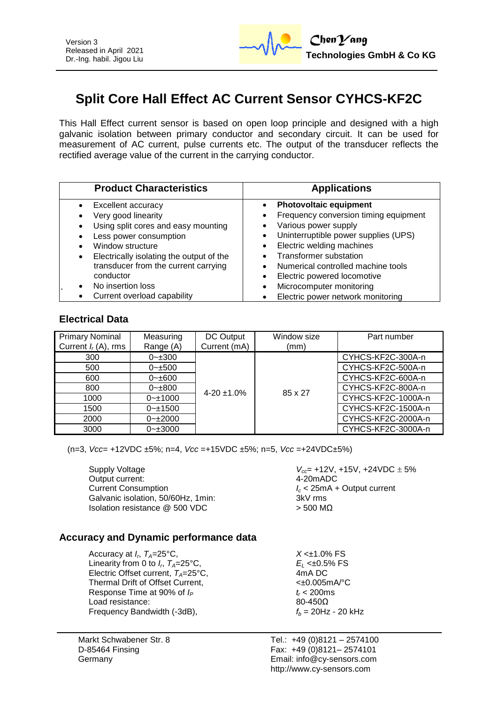

# **Split Core Hall Effect AC Current Sensor CYHCS-KF2C**

This Hall Effect current sensor is based on open loop principle and designed with a high galvanic isolation between primary conductor and secondary circuit. It can be used for measurement of AC current, pulse currents etc. The output of the transducer reflects the rectified average value of the current in the carrying conductor.

| <b>Product Characteristics</b>                                                                                                                                                                                                  | <b>Applications</b>                                                                                                                                                                                                                                                                    |  |  |
|---------------------------------------------------------------------------------------------------------------------------------------------------------------------------------------------------------------------------------|----------------------------------------------------------------------------------------------------------------------------------------------------------------------------------------------------------------------------------------------------------------------------------------|--|--|
| Excellent accuracy<br>Very good linearity<br>Using split cores and easy mounting<br>Less power consumption<br>Window structure<br>Electrically isolating the output of the<br>transducer from the current carrying<br>conductor | <b>Photovoltaic equipment</b><br>Frequency conversion timing equipment<br>Various power supply<br>Uninterruptible power supplies (UPS)<br>Electric welding machines<br>$\bullet$<br><b>Transformer substation</b><br>Numerical controlled machine tools<br>Electric powered locomotive |  |  |
| No insertion loss<br>Current overload capability                                                                                                                                                                                | Microcomputer monitoring<br>$\bullet$<br>Electric power network monitoring                                                                                                                                                                                                             |  |  |

#### **Electrical Data**

| <b>Primary Nominal</b><br>Current $I_r(A)$ , rms | Measuring<br>Range (A) | DC Output<br>Current (mA) | Window size<br>(mm) | Part number        |
|--------------------------------------------------|------------------------|---------------------------|---------------------|--------------------|
|                                                  |                        |                           |                     |                    |
| 300                                              | $0 - 300$              | $4 - 20 \pm 1.0\%$        |                     | CYHCS-KF2C-300A-n  |
| 500                                              | $0 - \pm 500$          |                           |                     | CYHCS-KF2C-500A-n  |
| 600                                              | $0 - \pm 600$          |                           | 85 x 27             | CYHCS-KF2C-600A-n  |
| 800                                              | $0 - 800$              |                           |                     | CYHCS-KF2C-800A-n  |
| 1000                                             | $0 - 1000$             |                           |                     | CYHCS-KF2C-1000A-n |
| 1500                                             | $0 - 1500$             |                           |                     | CYHCS-KF2C-1500A-n |
| 2000                                             | $0 - 2000$             |                           |                     | CYHCS-KF2C-2000A-n |
| 3000                                             | $0 - \pm 3000$         |                           |                     | CYHCS-KF2C-3000A-n |

(n=3, *Vcc*= +12VDC ±5%; n=4, *Vcc* =+15VDC ±5%; n=5, *Vcc* =+24VDC±5%)

Output current:  $4-20 \text{ mADC}$ <br>Current Consumption  $l_c < 25 \text{ mA} +$ Galvanic isolation, 50/60Hz, 1min; Isolation resistance  $@$  500 VDC  $>$  500 MΩ

Supply Voltage *V<sub>cc</sub>* +12V, +15V, +24VDC  $\pm$  5% *I<sub>c</sub>* < 25mA + Output current 3kV rms

# **Accuracy and Dynamic performance data**

Accuracy at  $I_r$ ,  $T_A = 25^\circ \text{C}$ , Linearity from 0 to  $I_r$ ,  $T_A = 25^\circ \text{C}$ , Electric Offset current,  $T_A = 25^{\circ}$ C, 4mA DC<br>Thermal Drift of Offset Current  $\leq 0.005 \text{ mA}$ <sup>o</sup>C, Thermal Drift of Offset Current, Response Time at 90% of  $I_P$   $t_r < 200 \text{ms}$ <br>Load resistance:  $80-450 \Omega$ Load resistance: Frequency Bandwidth  $(-3dB)$ ,  $f_b = 20Hz - 20kHz$ 

Markt Schwabener Str. 8 D-85464 Finsing Germany

 $X < \pm 1.0\%$  FS  $E_L$  <±0.5% FS<br>4mA DC

Tel.: +49 (0)8121 – 2574100 Fax: +49 (0)8121– 2574101 Email: info@cy-sensors.com http://www.cy-sensors.com